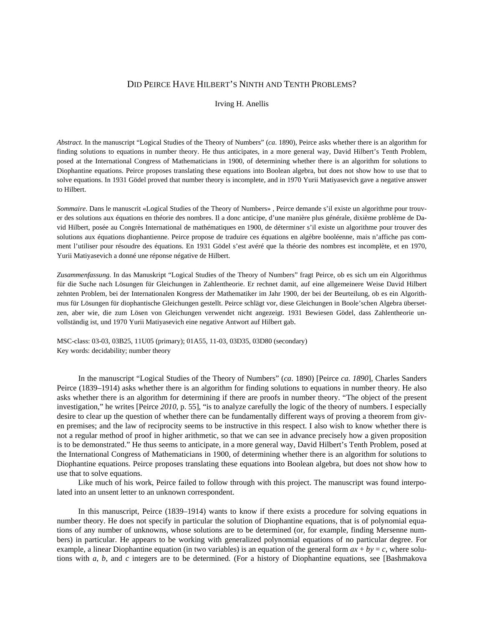# DID PEIRCE HAVE HILBERT'S NINTH AND TENTH PROBLEMS?

#### Irving H. Anellis

*Abstract.* In the manuscript "Logical Studies of the Theory of Numbers" (*ca*. 1890), Peirce asks whether there is an algorithm for finding solutions to equations in number theory. He thus anticipates, in a more general way, David Hilbert's Tenth Problem, posed at the International Congress of Mathematicians in 1900, of determining whether there is an algorithm for solutions to Diophantine equations. Peirce proposes translating these equations into Boolean algebra, but does not show how to use that to solve equations. In 1931 Gödel proved that number theory is incomplete, and in 1970 Yurii Matiyasevich gave a negative answer to Hilbert.

*Sommaire*. Dans le manuscrit «Logical Studies of the Theory of Numbers» , Peirce demande s'il existe un algorithme pour trouver des solutions aux équations en théorie des nombres. Il a donc anticipe, d'une manière plus générale, dixième problème de David Hilbert, posée au Congrès International de mathématiques en 1900, de déterminer s'il existe un algorithme pour trouver des solutions aux équations diophantienne. Peirce propose de traduire ces équations en algèbre booléenne, mais n'affiche pas comment l'utiliser pour résoudre des équations. En 1931 Gödel s'est avéré que la théorie des nombres est incomplète, et en 1970, Yurii Matiyasevich a donné une réponse négative de Hilbert.

*Zusammenfassung.* In das Manuskript "Logical Studies of the Theory of Numbers" fragt Peirce, ob es sich um ein Algorithmus für die Suche nach Lösungen für Gleichungen in Zahlentheorie. Er rechnet damit, auf eine allgemeinere Weise David Hilbert zehnten Problem, bei der Internationalen Kongress der Mathematiker im Jahr 1900, der bei der Beurteilung, ob es ein Algorithmus für Lösungen für diophantische Gleichungen gestellt. Peirce schlägt vor, diese Gleichungen in Boole'schen Algebra übersetzen, aber wie, die zum Lösen von Gleichungen verwendet nicht angezeigt. 1931 Bewiesen Gödel, dass Zahlentheorie unvollständig ist, und 1970 Yurii Matiyasevich eine negative Antwort auf Hilbert gab.

[MSC-class:](http://arxiv.org/help/prep#msc) 03-03, 03B25, 11U05 (primary); 01A55, 11-03, 03D35, 03D80 (secondary) Key words: decidability; number theory

In the manuscript "Logical Studies of the Theory of Numbers" (*ca*. 1890) [Peirce *ca. 1890*], Charles Sanders Peirce (1839–1914) asks whether there is an algorithm for finding solutions to equations in number theory. He also asks whether there is an algorithm for determining if there are proofs in number theory. "The object of the present investigation," he writes [Peirce *2010*, p. 55], "is to analyze carefully the logic of the theory of numbers. I especially desire to clear up the question of whether there can be fundamentally different ways of proving a theorem from given premises; and the law of reciprocity seems to be instructive in this respect. I also wish to know whether there is not a regular method of proof in higher arithmetic, so that we can see in advance precisely how a given proposition is to be demonstrated." He thus seems to anticipate, in a more general way, David Hilbert's Tenth Problem, posed at the International Congress of Mathematicians in 1900, of determining whether there is an algorithm for solutions to Diophantine equations. Peirce proposes translating these equations into Boolean algebra, but does not show how to use that to solve equations.

Like much of his work, Peirce failed to follow through with this project. The manuscript was found interpolated into an unsent letter to an unknown correspondent.

In this manuscript, Peirce (1839–1914) wants to know if there exists a procedure for solving equations in number theory. He does not specify in particular the solution of Diophantine equations, that is of polynomial equations of any number of unknowns, whose solutions are to be determined (or, for example, finding Mersenne numbers) in particular. He appears to be working with generalized polynomial equations of no particular degree. For example, a linear Diophantine equation (in two variables) is an equation of the general form  $ax + by = c$ , where solutions with *a*, *b*, and *c* integers are to be determined. (For a history of Diophantine equations, see [Bashmakova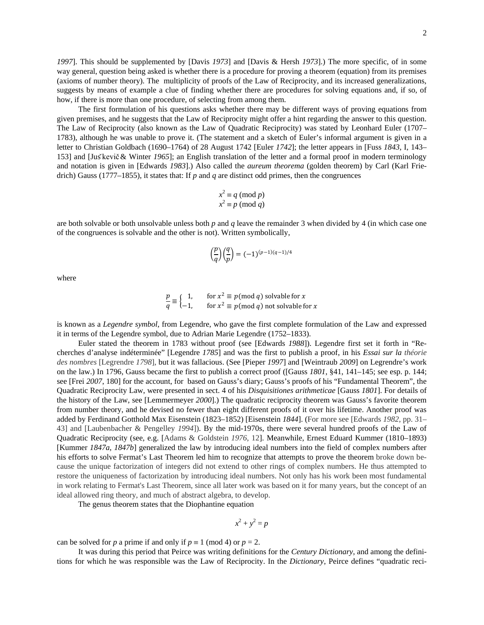*1997*]. This should be supplemented by [Davis *1973*] and [Davis & Hersh *1973*].) The more specific, of in some way general, question being asked is whether there is a procedure for proving a theorem (equation) from its premises (axioms of number theory). The multiplicity of proofs of the Law of Reciprocity, and its increased generalizations, suggests by means of example a clue of finding whether there are procedures for solving equations and, if so, of how, if there is more than one procedure, of selecting from among them.

The first formulation of his questions asks whether there may be different ways of proving equations from given premises, and he suggests that the Law of Reciprocity might offer a hint regarding the answer to this question. The Law of Reciprocity (also known as the Law of Quadratic Reciprocity) was stated by Leonhard Euler (1707– 1783), although he was unable to prove it. (The statement and a sketch of Euler's informal argument is given in a letter to Christian Goldbach (1690–1764) of 28 August 1742 [Euler *1742*]; the letter appears in [Fuss *1843*, I, 143– 153] and [Juš kevič& Winter *1965*]; an English translation of the letter and a formal proof in modern terminology and notation is given in [Edwards *1983*].) Also called the *[aureum theorema](http://mathworld.wolfram.com/AureumTheorema.html)* [\(golden theorem\)](http://mathworld.wolfram.com/GoldenTheorem.html) by Carl (Karl Friedrich) Gauss (1777–1855), it states that: If *p* and *q* are distinct [odd](http://mathworld.wolfram.com/OddNumber.html) [primes,](http://mathworld.wolfram.com/PrimeNumber.html) then the [congruences](http://mathworld.wolfram.com/Congruence.html)

$$
x2 \equiv q \pmod{p}
$$

$$
x2 \equiv p \pmod{q}
$$

are both solvable or both unsolvable unless both *p* and *q* leave the remainder 3 when divided by 4 (in which case one of th[e congruences](http://mathworld.wolfram.com/Congruence.html) is solvable and the other is not). Written symbolically,

$$
\left(\frac{p}{q}\right)\left(\frac{q}{p}\right) = (-1)^{(p-1)(q-1)/4}
$$

where

$$
\frac{p}{q} \equiv \begin{cases} 1, & \text{for } x^2 \equiv p \pmod{q} \text{ solvable for } x \\ -1, & \text{for } x^2 \equiv p \pmod{q} \text{ not solvable for } x \end{cases}
$$

is known as a *[Legendre symbol](http://mathworld.wolfram.com/LegendreSymbol.html)*, from Legendre, who gave the first complete formulation of the Law and expressed it in terms of the Legendre symbol, due to [Adrian Marie Legendre](http://www.maths.tcd.ie/pub/HistMath/People/Legendre/RouseBall/RB_Legendre.html) (1752–1833).

Euler stated the theorem in 1783 without proof (see [Edwards *1988*]). Legendre first set it forth in "Recherches d'analyse indéterminée" [Legendre *1785*] and was the first to publish a proof, in his *Essai sur la théorie des nombres* [Legrendre *1798*], but it was fallacious. (See [Pieper *1997*] and [Weintraub *2009*] on Legrendre's work on the law.) In 1796, Gauss became the first to publish a correct proof ([Gauss *1801*, §41, 141–145; see esp. p. 144; see [Frei *2007*, 180] for the account, for based on Gauss's diary; Gauss's proofs of his "Fundamental Theorem", the Quadratic Reciprocity Law, were presented in sect. 4 of his *Disquisitiones arithmeticae* [Gauss *1801*]. For details of the history of the Law, see [Lemmermeyer *2000*].) The quadratic reciprocity theorem was Gauss's favorite theorem from [number theory,](http://mathworld.wolfram.com/NumberTheory.html) and he devised no fewer than eight different proofs of it over his lifetime. Another proof was added by Ferdinand Gotthold Max Eisenstein (1823–1852) [Eisenstein *1844*]. (For more see [Edwards *1982*, pp. 31– 43] and [Laubenbacher & Pengelley *1994*]). By the mid-1970s, there were several hundred proofs of the Law of Quadratic Reciprocity (see, e.g. [Adams & Goldstein *1976*, 12]. Meanwhile, Ernest Eduard Kummer (1810–1893) [Kummer *1847a*, *1847b*] generalized the law by introducing ideal numbers into the field of complex numbers after his efforts to solve Fermat's Last Theorem led him to recognize that attempts to prove the theorem broke down because the unique factorization of integers did not extend to other rings of complex numbers. He thus attempted to restore the uniqueness of factorization by introducing ideal numbers. Not only has his work been most fundamental in work relating to Fermat's Last Theorem, since all later work was based on it for many years, but the concept of an ideal allowed ring theory, and much of abstract algebra, to develop.

The [genus theorem](http://mathworld.wolfram.com/GenusTheorem.html) states that the [Diophantine equation](http://mathworld.wolfram.com/DiophantineEquation.html)

$$
x^2 + y^2 = p
$$

can be solved for *p* [a prime](http://mathworld.wolfram.com/PrimeNumber.html) [if](http://mathworld.wolfram.com/Iff.html) and only if  $p \equiv 1 \pmod{4}$  or  $p = 2$ .

It was during this period that Peirce was writing definitions for the *Century Dictionary*, and among the definitions for which he was responsible was the Law of Reciprocity. In the *Dictionary*, Peirce defines "quadratic reci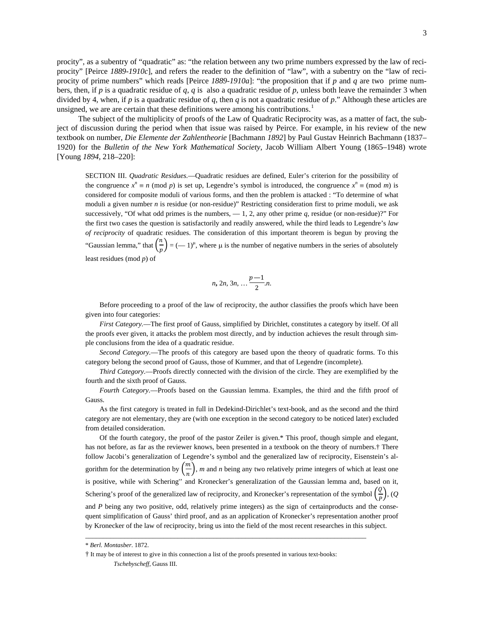procity", as a subentry of "quadratic" as: "the relation between any two prime numbers expressed by the law of reciprocity" [Peirce *1889-1910c*], and refers the reader to the definition of "law", with a subentry on the "law of reciprocity of prime numbers" which reads [Peirce *1889-1910a*]: "the proposition that if *p* and *q* are two prime numbers, then, if *p* is a quadratic residue of *q*, *q* is also a quadratic residue of *p*, unless both leave the remainder 3 when divided by 4, when, if *p* is a quadratic residue of *q*, then *q* is not a quadratic residue of *p*." Although these articles are unsigned, we are are certain that these definitions were among his contributions.<sup>[1](#page-6-0)</sup>

The subject of the multiplicity of proofs of the Law of Quadratic Reciprocity was, as a matter of fact, the subject of discussion during the period when that issue was raised by Peirce. For example, in his review of the new textbook on number, *Die Elemente der Zahlentheorie* [Bachmann *1892*] by Paul Gustav Heinrich Bachmann [\(1837–](http://en.wikipedia.org/wiki/1837) [1920\)](http://en.wikipedia.org/wiki/1920) for the *Bulletin of the New York Mathematical Society*, Jacob William Albert Young (1865–1948) wrote [Young *1894*, 218–220]:

SECTION III. *Quadratic Residues.*—Quadratic residues are defined, Euler's criterion for the possibility of the congruence  $x^n \equiv n \pmod{p}$  is set up, Legendre's symbol is introduced, the congruence  $x^n \equiv \pmod{m}$  is considered for composite moduli of various forms, and then the problem is attacked : "To determine of what moduli a given number *n* is residue (or non-residue)" Restricting consideration first to prime moduli, we ask successively, "Of what odd primes is the numbers,  $-1$ , 2, any other prime q, residue (or non-residue)?" For the first two cases the question is satisfactorily and readily answered, while the third leads to Legendre's *law of reciprocity* of quadratic residues. The consideration of this important theorem is begun by proving the "Gaussian lemma," that  $\left(\frac{n}{n}\right)$  $\left(\frac{n}{p}\right) = (-1)^{\mu}$ , where  $\mu$  is the number of negative numbers in the series of absolutely least residues (mod *p*) of

$$
n, 2n, 3n, \ldots \frac{p-1}{2}n.
$$

Before proceeding to a proof of the law of reciprocity, the author classifies the proofs which have been given into four categories:

*First Category.*—The first proof of Gauss, simplified by Dirichlet, constitutes a category by itself. Of all the proofs ever given, it attacks the problem most directly, and by induction achieves the result through simple conclusions from the idea of a quadratic residue.

*Second Category.*—The proofs of this category are based upon the theory of quadratic forms. To this category belong the second proof of Gauss, those of Kummer, and that of Legendre (incomplete).

*Third Category.*—Proofs directly connected with the division of the circle. They are exemplified by the fourth and the sixth proof of Gauss.

*Fourth Category.*—Proofs based on the Gaussian lemma. Examples, the third and the fifth proof of Gauss.

As the first category is treated in full in Dedekind-Dirichlet's text-book, and as the second and the third category are not elementary, they are (with one exception in the second category to be noticed later) excluded from detailed consideration.

Of the fourth category, the proof of the pastor Zeiler is given.\* This proof, though simple and elegant, has not before, as far as the reviewer knows, been presented in a textbook on the theory of nurnbers.† There follow Jacobi's generalization of Legendre's symbol and the generalized law of reciprocity, Eisenstein's algorithm for the determination by  $\left(\frac{m}{n}\right)$ , *m* and *n* being any two relatively prime integers of which at least one is positive, while with Schering'' and Kronecker's generalization of the Gaussian lemma and, based on it, Schering's proof of the generalized law of reciprocity, and Kronecker's representation of the symbol  $\left(\frac{Q}{p}\right)$  $\frac{P}{P}$ ), (Q) and *P* being any two positive, odd, relatively prime integers) as the sign of certainproducts and the consequent simplification of Gauss' third proof, and as an application of Kronecker's representation another proof by Kronecker of the law of reciprocity, bring us into the field of the most recent researches in this subject.

 $\overline{\phantom{a}}$  , and the contribution of the contribution of the contribution of the contribution of the contribution of the contribution of the contribution of the contribution of the contribution of the contribution of the

<sup>\*</sup> *Berl. Montasber.* 1872.

<sup>†</sup> It may be of interest to give in this connection a list of the proofs presented in various text-books: *Tschebyscheff,* Gauss III.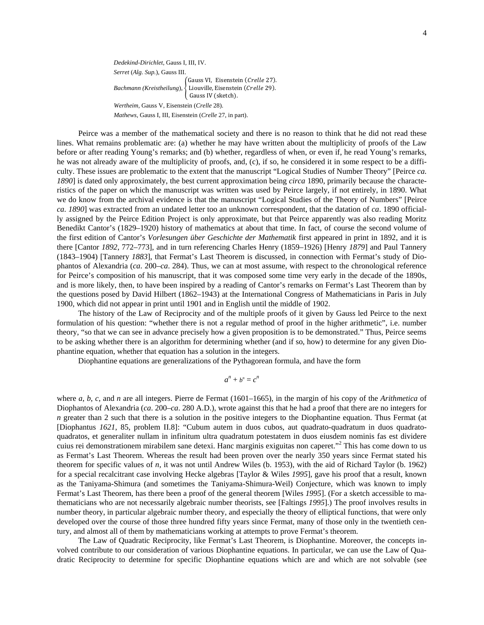*Dedekind-Dirichlet,* Gauss I, III, IV. *Serret* (*Alg. Sup.*), Gauss III.  $Bachmann (Kreistheilung),$ Gauss VI, Eisenstein (Crelle 27). Liouville, Eisenstein (Crelle 29). Gauss IV (sketch). *Wertheim,* Gauss V, Eisenstein (*Crelle* 28). *Mathews,* Gauss I, III, Eisenstein (*Crelle* 27, in part).

Peirce was a member of the mathematical society and there is no reason to think that he did not read these lines. What remains problematic are: (a) whether he may have written about the multiplicity of proofs of the Law before or after reading Young's remarks; and (b) whether, regardless of when, or even if, he read Young's remarks, he was not already aware of the multiplicity of proofs, and, (c), if so, he considered it in some respect to be a difficulty. These issues are problematic to the extent that the manuscript "Logical Studies of Number Theory" [Peirce *ca. 1890*] is dated only approximately, the best current approximation being *circa* 1890, primarily because the characteristics of the paper on which the manuscript was written was used by Peirce largely, if not entirely, in 1890. What we do know from the archival evidence is that the manuscript "Logical Studies of the Theory of Numbers" [Peirce *ca. 1890*] was extracted from an undated letter too an unknown correspondent, that the datation of *ca*. 1890 officially assigned by the Peirce Edition Project is only approximate, but that Peirce apparently was also reading Moritz Benedikt Cantor's (1829–1920) history of mathematics at about that time. In fact, of course the second volume of the first edition of Cantor's *Vorlesungen über Geschichte der Mathematik* first appeared in print in 1892, and it is there [Cantor *1892*, 772–773], and in turn referencing Charles Henry (1859–1926) [Henry *1879*] and Paul Tannery (1843–1904) [Tannery *1883*], that Fermat's Last Theorem is discussed, in connection with Fermat's study of Diophantos of Alexandria (*ca*. 200–*ca*. 284). Thus, we can at most assume, with respect to the chronological reference for Peirce's composition of his manuscript, that it was composed some time very early in the decade of the 1890s, and is more likely, then, to have been inspired by a reading of Cantor's remarks on Fermat's Last Theorem than by the questions posed by David Hilbert (1862–1943) at the International Congress of Mathematicians in Paris in July 1900, which did not appear in print until 1901 and in English until the middle of 1902.

The history of the Law of Reciprocity and of the multiple proofs of it given by Gauss led Peirce to the next formulation of his question: "whether there is not a regular method of proof in the higher arithmetic", i.e. number theory, "so that we can see in advance precisely how a given proposition is to be demonstrated." Thus, Peirce seems to be asking whether there is an algorithm for determining whether (and if so, how) to determine for any given Diophantine equation, whether that equation has a solution in the integers.

Diophantine equations are generalizations of the Pythagorean formula, and have the form

$$
a^n + b^n = c^n
$$

where *a*, *b*, *c*, and *n* are all integers. Pierre de Fermat (1601–1665), in the margin of his copy of the *Arithmetica* of Diophantos of Alexandria (*ca*. 200–*ca*. 280 A.D.), wrote against this that he had a proof that there are no integers for *n* greater than 2 such that there is a solution in the positive integers to the Diophantine equation. Thus Fermat (at [Diophantus *1621*, 85, problem II.8]: "Cubum autem in duos cubos, aut quadrato-quadratum in duos quadratoquadratos, et generaliter nullam in infinitum ultra quadratum potestatem in duos eiusdem nominis fas est dividere cuius rei demonstrationem mirabilem sane detexi. Hanc marginis exiguitas non caperet."<sup>2</sup> This has come down to us as Fermat's Last Theorem. Whereas the result had been proven over the nearly 350 years since Fermat stated his theorem for specific values of *n*, it was not until Andrew Wiles (b. 1953), with the aid of Richard Taylor (b. 1962) for a special recalcitrant case involving Hecke algebras [Taylor & Wiles *1995*], gave his proof that a result, known as the Taniyama-Shimura (and sometimes the Taniyama-Shimura-Weil) Conjecture, which was known to imply Fermat's Last Theorem, has there been a proof of the general theorem [Wiles *1995*]. (For a sketch accessible to mathematicians who are not necessarily algebraic number theorists, see [Faltings *1995*].) The proof involves results in number theory, in particular algebraic number theory, and especially the theory of elliptical functions, that were only developed over the course of those three hundred fifty years since Fermat, many of those only in the twentieth century, and almost all of them by mathematicians working at attempts to prove Fermat's theorem.

The Law of Quadratic Reciprocity, like Fermat's Last Theorem, is Diophantine. Moreover, the concepts involved contribute to our consideration of various Diophantine equations. In particular, we can use the Law of Quadratic Reciprocity to determine for specific Diophantine equations which are and which are not solvable (see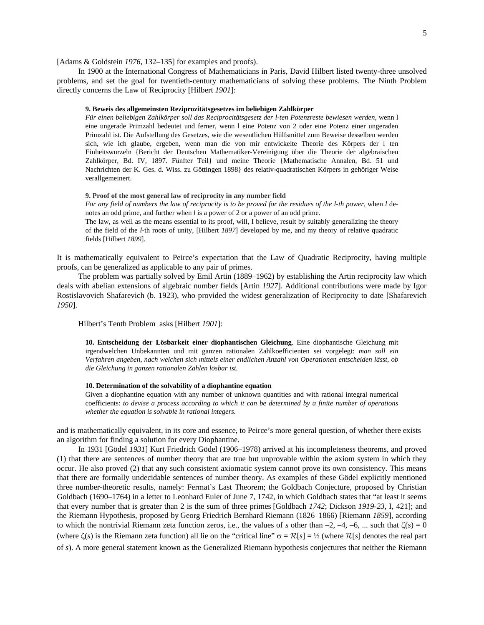[Adams & Goldstein *1976*, 132–135] for examples and proofs).

In 1900 at the International Congress of Mathematicians in Paris, David Hilbert listed twenty-three unsolved problems, and set the goal for twentieth-century mathematicians of solving these problems. The Ninth Problem directly concerns the Law of Reciprocity [Hilbert *1901*]:

#### **9. Beweis des allgemeinsten Reziprozitätsgesetzes im beliebigen Zahlkörper**

*Für einen beliebigen Zahlkörper soll das Reciprocitätsgesetz der l-ten Potenzreste bewiesen werden,* wenn l eine ungerade Primzahl bedeutet und ferner, wenn l eine Potenz von 2 oder eine Potenz einer ungeraden Primzahl ist. Die Aufstellung des Gesetzes, wie die wesentlichen Hülfsmittel zum Beweise desselben werden sich, wie ich glaube, ergeben, wenn man die von mir entwickelte Theorie des Körpers der l ten Einheitswurzeln {Bericht der Deutschen Mathematiker-Vereinigung über die Theorie der algebraischen Zahlkörper, Bd. IV, 1897. Fünfter Teil} und meine Theorie {Mathematische Annalen, Bd. 51 und Nachrichten der K. Ges. d. Wiss. zu Göttingen 1898} des relativ-quadratischen Körpers in gehöriger Weise verallgemeinert.

#### **9. Proof of the most general law of reciprocity in any number field**

*For any field of numbers the law of reciprocity is to be proved for the residues of the l-th power,* when *l* denotes an odd prime, and further when *l* is a power of 2 or a power of an odd prime. The law, as well as the means essential to its proof, will, I believe, result by suitably generalizing the theory of the field of the *l*-th roots of unity, [Hilbert *1897*] developed by me, and my theory of relative quadratic

fields [Hilbert *1899*].

It is mathematically equivalent to Peirce's expectation that the Law of Quadratic Reciprocity, having multiple proofs, can be generalized as applicable to any pair of primes.

The problem was partially solved by Emil Artin (1889–1962) by establishing the Artin reciprocity law which deals with abelian extensions of algebraic number fields [Artin *1927*]. Additional contributions were made by Igor Rostislavovich Shafarevich (b. 1923), who provided the widest generalization of Reciprocity to date [Shafarevich *1950*].

Hilbert's Tenth Problem asks [Hilbert *1901*]:

**10. Entscheidung der Lösbarkeit einer diophantischen Gleichung**. Eine diophantische Gleichung mit irgendwelchen Unbekannten und mit ganzen rationalen Zahlkoefficienten sei vorgelegt: *man soll ein Verfahren angeben, nach welchen sich mittels einer endlichen Anzahl von Operationen entscheiden lässt, ob die Gleichung in ganzen rationalen Zahlen lösbar ist.*

## **10. Determination of the solvability of a diophantine equation**

Given a diophantine equation with any number of unknown quantities and with rational integral numerical coefficients: *to devise a process according to which it can be determined by a finite number of operations whether the equation is solvable in rational integers.*

and is mathematically equivalent, in its core and essence, to Peirce's more general question, of whether there exists an algorithm for finding a solution for every Diophantine.

In 1931 [Gödel *1931*] Kurt Friedrich Gödel (1906–1978) arrived at his incompleteness theorems, and proved (1) that there are sentences of number theory that are true but unprovable within the axiom system in which they occur. He also proved (2) that any such consistent axiomatic system cannot prove its own consistency. This means that there are formally undecidable sentences of number theory. As examples of these Gödel explicitly mentioned three number-theoretic results, namely: Fermat's Last Theorem; the Goldbach Conjecture, proposed by Christian Goldbach (1690–1764) in a letter to Leonhard Euler of June 7, 1742, in which Goldbach states that "at least it seems that every number that is greater than 2 is the [sum](http://mathworld.wolfram.com/Sum.html) of three [primes](http://mathworld.wolfram.com/PrimeNumber.html) [Goldbach *1742*; Dickson *1919-23*, I, 421]; and the Riemann Hypothesis, proposed by Georg Friedrich Bernhard Riemann (1826–1866) [Riemann *1859*], according to which the nontrivial Riemann [zeta function zeros,](http://mathworld.wolfram.com/RiemannZetaFunctionZeros.html) i.e., the values of *s* other than  $-2$ ,  $-4$ ,  $-6$ , ... such that  $\zeta(s) = 0$ (where  $\zeta(s)$  is the [Riemann zeta function\)](http://mathworld.wolfram.com/RiemannZetaFunction.html) all lie on the ["critical line"](http://mathworld.wolfram.com/CriticalLine.html)  $\sigma = \mathcal{R}[s] = \frac{1}{2}$  (where  $\mathcal{R}[s]$  denotes the [real part](http://mathworld.wolfram.com/RealPart.html) of *s*). A more general statement known as the [Generalized Riemann hypothesis](http://mathworld.wolfram.com/GeneralizedRiemannHypothesis.html) conjectures that neither the [Riemann](http://mathworld.wolfram.com/RiemannZetaFunction.html)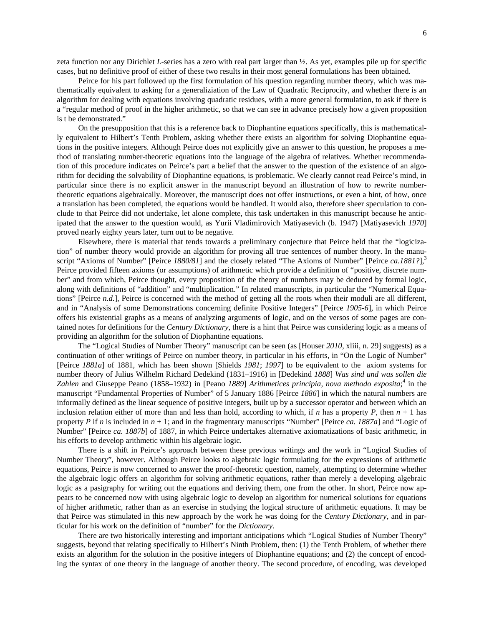zeta function nor any [Dirichlet](http://mathworld.wolfram.com/DirichletL-Series.html) *L*-series has a zero with [real part](http://mathworld.wolfram.com/RealPart.html) larger than ½. As yet, examples pile up for specific cases, but no definitive proof of either of these two results in their most general formulations has been obtained.

Peirce for his part followed up the first formulation of his question regarding number theory, which was mathematically equivalent to asking for a generaliziation of the Law of Quadratic Reciprocity, and whether there is an algorithm for dealing with equations involving quadratic residues, with a more general formulation, to ask if there is a "regular method of proof in the higher arithmetic, so that we can see in advance precisely how a given proposition is t be demonstrated."

On the presupposition that this is a reference back to Diophantine equations specifically, this is mathematically equivalent to Hilbert's Tenth Problem, asking whether there exists an algorithm for solving Diophantine equations in the positive integers. Although Peirce does not explicitly give an answer to this question, he proposes a method of translating number-theoretic equations into the language of the algebra of relatives. Whether recommendation of this procedure indicates on Peirce's part a belief that the answer to the question of the existence of an algorithm for deciding the solvability of Diophantine equations, is problematic. We clearly cannot read Peirce's mind, in particular since there is no explicit answer in the manuscript beyond an illustration of how to rewrite numbertheoretic equations algebraically. Moreover, the manuscript does not offer instructions, or even a hint, of how, once a translation has been completed, the equations would be handled. It would also, therefore sheer speculation to conclude to that Peirce did not undertake, let alone complete, this task undertaken in this manuscript because he anticipated that the answer to the question would, as Yurii Vladimirovich Matiyasevich (b. 1947) [Matiyasevich *1970*] proved nearly eighty years later, turn out to be negative.

Elsewhere, there is material that tends towards a preliminary conjecture that Peirce held that the "logicization" of number theory would provide an algorithm for proving all true sentences of number theory. In the manuscript "Axioms of Number" [Peirce *1880/81*] and the closely related "The Axioms of Number" [Peirce *ca.1881?*], 3 Peirce provided fifteen axioms (or assumptions) of arithmetic which provide a definition of "positive, discrete number" and from which, Peirce thought, every proposition of the theory of numbers may be deduced by formal logic, along with definitions of "addition" and "multiplication." In related manuscripts, in particular the "Numerical Equations" [Peirce *n.d.*], Peirce is concerned with the method of getting all the roots when their moduli are all different, and in "Analysis of some Demonstrations concerning definite Positive Integers" [Peirce *1905-6*], in which Peirce offers his existential graphs as a means of analyzing arguments of logic, and on the versos of some pages are contained notes for definitions for the *Century Dictionary*, there is a hint that Peirce was considering logic as a means of providing an algorithm for the solution of Diophantine equations.

The "Logical Studies of Number Theory" manuscript can be seen (as [Houser *2010*, xliii, n. 29] suggests) as a continuation of other writings of Peirce on number theory, in particular in his efforts, in "On the Logic of Number" [Peirce *1881a*] of 1881, which has been shown [Shields *1981*; *1997*] to be equivalent to the axiom systems for number theory of Julius Wilhelm Richard Dedekind (1831–1916) in [Dedekind *1888*] *Was sind und was sollen die Zahlen* and Giuseppe Peano (1858–1932) in [Peano *1889*] *Arithmetices principia, nova methodo exposita*; <sup>4</sup> in the manuscript "Fundamental Properties of Number" of 5 January 1886 [Peirce *1886*] in which the natural numbers are informally defined as the linear sequence of positive integers, built up by a successor operator and between which an inclusion relation either of more than and less than hold, according to which, if *n* has a property *P*, then  $n + 1$  has property *P* if *n* is included in *n* + 1; and in the fragmentary manuscripts "Number" [Peirce *ca. 1887a*] and "Logic of Number" [Peirce *ca. 1887b*] of 1887, in which Peirce undertakes alternative axiomatizations of basic arithmetic, in his efforts to develop arithmetic within his algebraic logic.

There is a shift in Peirce's approach between these previous writings and the work in "Logical Studies of Number Theory", however. Although Peirce looks to algebraic logic formulating for the expressions of arithmetic equations, Peirce is now concerned to answer the proof-theoretic question, namely, attempting to determine whether the algebraic logic offers an algorithm for solving arithmetic equations, rather than merely a developing algebraic logic as a pasigraphy for writing out the equations and deriving them, one from the other. In short, Peirce now appears to be concerned now with using algebraic logic to develop an algorithm for numerical solutions for equations of higher arithmetic, rather than as an exercise in studying the logical structure of arithmetic equations. It may be that Peirce was stimulated in this new approach by the work he was doing for the *Century Dictionary*, and in particular for his work on the definition of "number" for the *Dictionary*.

There are two historically interesting and important anticipations which "Logical Studies of Number Theory" suggests, beyond that relating specifically to Hilbert's Ninth Problem, then: (1) the Tenth Problem, of whether there exists an algorithm for the solution in the positive integers of Diophantine equations; and (2) the concept of encoding the syntax of one theory in the language of another theory. The second procedure, of encoding, was developed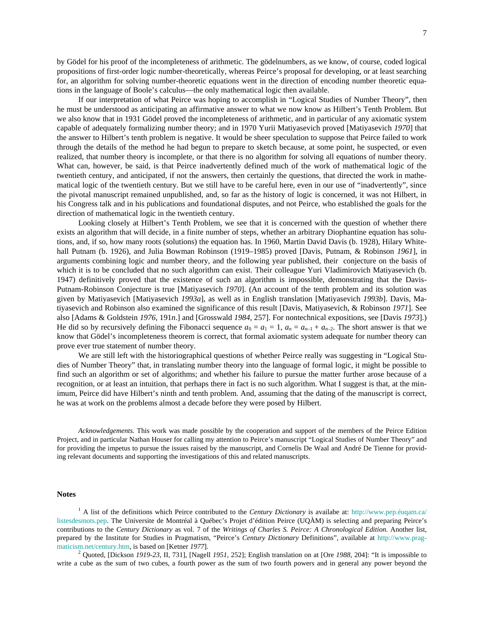by Gödel for his proof of the incompleteness of arithmetic. The gödelnumbers, as we know, of course, coded logical propositions of first-order logic number-theoretically, whereas Peirce's proposal for developing, or at least searching for, an algorithm for solving number-theoretic equations went in the direction of encoding number theoretic equations in the language of Boole's calculus—the only mathematical logic then available.

If our interpretation of what Peirce was hoping to accomplish in "Logical Studies of Number Theory", then he must be understood as anticipating an affirmative answer to what we now know as Hilbert's Tenth Problem. But we also know that in 1931 Gödel proved the incompleteness of arithmetic, and in particular of any axiomatic system capable of adequately formalizing number theory; and in 1970 Yurii Matiyasevich proved [Matiyasevich *1970*] that the answer to Hilbert's tenth problem is negative. It would be sheer speculation to suppose that Peirce failed to work through the details of the method he had begun to prepare to sketch because, at some point, he suspected, or even realized, that number theory is incomplete, or that there is no algorithm for solving all equations of number theory. What can, however, be said, is that Peirce inadvertently defined much of the work of mathematical logic of the twentieth century, and anticipated, if not the answers, then certainly the questions, that directed the work in mathematical logic of the twentieth century. But we still have to be careful here, even in our use of "inadvertently", since the pivotal manuscript remained unpublished, and, so far as the history of logic is concerned, it was not Hilbert, in his Congress talk and in his publications and foundational disputes, and not Peirce, who established the goals for the direction of mathematical logic in the twentieth century.

Looking closely at Hilbert's Tenth Problem, we see that it is concerned with the question of whether there exists an algorithm that will decide, in a finite number of steps, whether an arbitrary Diophantine equation has solutions, and, if so, how many roots (solutions) the equation has. In 1960, Martin David Davis (b. 1928), Hilary Whitehall Putnam (b. 1926), and Julia Bowman Robinson (1919–1985) proved [Davis, Putnam, & Robinson *1961*], in arguments combining logic and number theory, and the following year published, their conjecture on the basis of which it is to be concluded that no such algorithm can exist. Their colleague Yuri Vladimirovich Matiyasevich (b. 1947) definitively proved that the existence of such an algorithm is impossible, demonstrating that the Davis-Putnam-Robinson Conjecture is true [Matiyasevich *1970*]. (An account of the tenth problem and its solution was given by Matiyasevich [Matiyasevich *1993a*], as well as in English translation [Matiyasevich *1993b*]. Davis, Matiyasevich and Robinson also examined the significance of this result [Davis, Matiyasevich, & Robinson *1971*]. See also [Adams & Goldstein *1976*, 191*n*.] and [Grosswald *1984*, 257]. For nontechnical expositions, see [Davis *1973*].) He did so by recursively defining the Fibonacci sequence  $a_0 = a_1 = 1$ ,  $a_n = a_{n-1} + a_{n-2}$ . The short answer is that we know that Gödel's incompleteness theorem is correct, that formal axiomatic system adequate for number theory can prove ever true statement of number theory.

We are still left with the historiographical questions of whether Peirce really was suggesting in "Logical Studies of Number Theory" that, in translating number theory into the language of formal logic, it might be possible to find such an algorithm or set of algorithms; and whether his failure to pursue the matter further arose because of a recognition, or at least an intuition, that perhaps there in fact is no such algorithm. What I suggest is that, at the minimum, Peirce did have Hilbert's ninth and tenth problem. And, assuming that the dating of the manuscript is correct, he was at work on the problems almost a decade before they were posed by Hilbert.

*Acknowledgements.* This work was made possible by the cooperation and support of the members of the Peirce Edition Project, and in particular Nathan Houser for calling my attention to Peirce's manuscript "Logical Studies of Number Theory" and for providing the impetus to pursue the issues raised by the manuscript, and Cornelis De Waal and André De Tienne for providing relevant documents and supporting the investigations of this and related manuscripts.

## **Notes**

<span id="page-6-0"></span><sup>1</sup> A list of the definitions which Peirce contributed to the *Century Dictionary* is availabe at: http://www.pep.éuqam.ca/ [listesdesmots.pep.](http://www.pep.éuqam.ca/%20listesdesmots.pep) The Universite de Montréal à Québec's Projet d'édition Peirce (UQÀM) is selecting and preparing Peirce's contributions to the *Century Dictionary* as vol. 7 of the *Writings of Charles S. Peirce: A Chronological Edition*. Another list, prepared by the Institute for Studies in Pragmatism, "Peirce's *Century Dictionary* Definitions", available at [http://www.prag](http://www.prag-maticism.net/century.htm)[maticism.net/century.htm,](http://www.prag-maticism.net/century.htm) is based on [Ketner *1977*].<br><sup>2</sup> Quoted, [Dickson *1919-23*, II, 731], [Nagell *1951*, 252]; English translation on at [Ore *1988*, 204]: "It is impossible to

write a cube as the sum of two cubes, a fourth power as the sum of two fourth powers and in general any power beyond the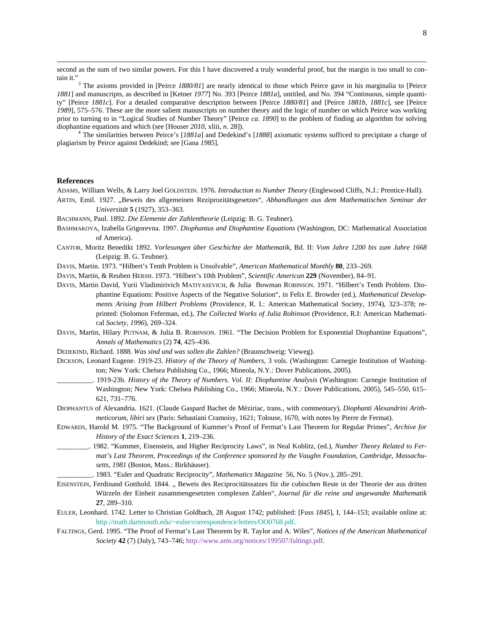second as the sum of two similar powers. For this I have discovered a truly wonderful proof, but the margin is too small to contain it."

<sup>3</sup> The axioms provided in [Peirce 1880/81] are nearly identical to those which Peirce gave in his marginalia to [Peirce *1881*] and manuscripts, as described in [Ketner *1977*] No. 393 [Peirce *1881a*], untitled, and No. 394 "Continuous, simple quantity" [Peirce *1881c*]. For a detailed comparative description between [Peirce *1880/81*] and [Peirce *1881b*, *1881c*], see [Peirce *1989*], 575–576. These are the more salient manuscripts on number theory and the logic of number on which Peirce was working prior to turning to in "Logical Studies of Number Theory" [Peirce *ca*. *1890*] to the problem of finding an algorithm for solving diophantine equations and which (see [Houser *2010*, xliii, *n*. 28]). <sup>4</sup> The similarities between Peirce's [*1881a*] and Dedekind's [*1888*] axiomatic systems sufficed to precipitate a charge of

plagiarism by Peirce against Dedekind; see [Gana *1985*].

### **References**

l

ADAMS, William Wells, & Larry Joel GOLDSTEIN. 1976. *Introduction to Number Theory* (Englewood Cliffs, N.J.: Prentice-Hall).

ARTIN, Emil. 1927. "Beweis des allgemeinen Reziprozitätsgesetzes", Abhandlungen aus dem Mathematischen Seminar der *Universität* **5** (1927), 353–363.

BACHMANN, Paul. 1892. *Die Elemente der Zahlentheorie* (Leipzig: B. G. Teubner).

- BASHMAKOVA, Izabella Grigorevna. 1997. *[Diophantus and Diophantine Equations](http://www.amazon.com/exec/obidos/ASIN/0883855267/ref=nosim/weisstein-20)* (Washington, DC: Mathematical Association of America).
- CANTOR, Moritz Benedikt 1892. *Vorlesungen über Geschichte der Mathematik*, Bd. II: *Vom Jahre 1200 bis zum Jahre 1668* (Leipzig: B. G. Teubner).

DAVIS, Martin. 1973. "Hilbert's Tenth Problem is Unsolvable", *American Mathematical Monthly* **80**, 233–269.

DAVIS, Martin, & Reuben HERSH. 1973. "Hilbert's 10th Problem", *Scientific American* **229** (November), 84–91.

- DAVIS, Martin David, Yurii Vladimirivich MATIYASEVICH, & Julia Bowman ROBINSON. 1971. "Hilbert's Tenth Problem. Diophantine Equations: Positive Aspects of the Negative Solution", in Felix E. Browder (ed.), *Mathematical Developments Arising from Hilbert Problems* (Providence, R. I.: American Mathematical Society, 1974), 323–378; reprinted: (Solomon Feferman, ed.), *The Collected Works of Julia Robinson* (Providence, R.I: American Mathematical *Society, 1996*), 269–324.
- DAVIS, Martin, Hilary PUTNAM, & Julia B. ROBINSON. 1961. "The Decision Problem for Exponential Diophantine Equations", *Annals of Mathematics* (2) **74**, 425–436.

DEDEKIND, Richard. 1888. *Was sind und was sollen die Zahlen?* (Braunschweig: Vieweg).

- DICKSON, Leonard Eugene. 1919-23. *[History of the Theory of Numbers,](http://www.amazon.com/exec/obidos/ASIN/0486442322/ref=nosim/weisstein-20)* 3 vols. (Washington: Carnegie Institution of Washington; New York: Chelsea Publishing Co., 1966; Mineola, N.Y.: Dover Publications, 2005).
	- \_\_\_\_\_\_\_\_\_\_. 1919-23b. *History of the Theory of Numbers. Vol. II: Diophantine Analysis* (Washington: Carnegie Institution of Washington; New York: Chelsea Publishing Co., 1966; Mineola, N.Y.: Dover Publications, 2005), 545–550, 615– 621, 731–776.
- DIOPHANTUS of Alexandria. 1621. (Claude Gaspard Bachet de Méziriac, trans., with commentary), *Diophanti Alexandrini Arithmeticorum, libiri sex* (Paris: Sebastiani Cramoisy, 1621; Tolouse, 1670, with notes by Pierre de Fermat).
- EDWARDS, Harold M. 1975. "The Background of Kummer's Proof of Fermat's Last Theorem for Regular Primes", *Archive for History of the Exact Sciences* **1**, 219–236.
	- \_\_\_\_\_\_\_\_\_. 1982. "Kummer, Eisenstein, and Higher Reciprocity Laws", in Neal Koblitz, (ed.), *Number Theory Related to Fermat's Last Theorem, Proceedings of the Conference sponsored by the Vaughn Foundation, Cambridge, Massachusetts, 1981* (Boston, Mass.: Birkhäuser).
- \_\_\_\_\_\_\_\_\_\_. 1983. "Euler and Quadratic Reciprocity", *Mathematics Magazine* 56, No. 5 (Nov.), 285–291.
- EISENSTEIN, Ferdinand Gotthold. 1844. "Beweis des Reciprocitätssatzes für die cubischen Reste in der Theorie der aus dritten Würzeln der Einheit zusammengesetzten complexen Zahlen", *Journal für die reine und angewandte Mathematik* **27**, 289–310.
- EULER, Leonhard. 1742. Letter to Christian Goldbach, 28 August 1742; published: [Fuss *1845*], I, 144–153; available online at: [http://math.dartmouth.edu/~euler/correspondence/letters/OO0768.pdf.](http://math.dartmouth.edu/~euler/correspondence/letters/OO0768.pdf)
- FALTINGS, Gerd. 1995. "The Proof of Fermat's Last Theorem by R. Taylor and A. Wiles", *Notices of the American Mathematical Society* **42** (7) (July), 743–746[; http://www.ams.org/notices/199507/faltings.pdf.](http://www.ams.org/notices/199507/faltings.pdf)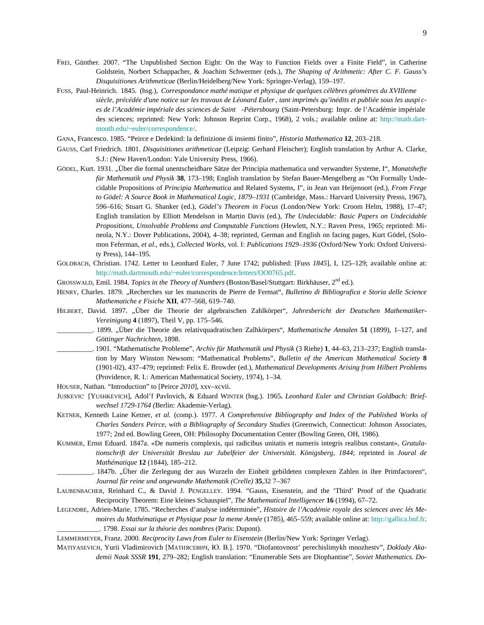- FREI, Günther. 2007. "The Unpublished Section Eight: On the Way to Function Fields over a Finite Field", in Catherine Goldstein, Norbert Schappacher, & Joachim Schwermer (eds.), *The Shaping of Arithmetic: After C. F. Gauss's Disquisitiones Arithmeticae* (Berlin/Heidelberg/New York: Springer-Verlag), 159–197.
- FUSS, Paul-Heinrich. 1845. (hsg.), *Correspondance mathé [matique et physique de quelques célèbres géomètres du XVIIIeme](http://www.worldcat.org/oclc/2218399&referer=brief_results)  siècle, précédée [d'une notice sur les travaux de Léonard Euler, tant imprimés qu'inédits et publiée sous les auspi](http://www.worldcat.org/oclc/2218399&referer=brief_results) c[es de l'Académie impériale des sciences de Saint](http://www.worldcat.org/oclc/2218399&referer=brief_results) -Pétersbourg* (Saint-Petersburg: Impr. de l'Académie impériale des sciences; reprinted: New York: Johnson Reprint Corp., 1968), 2 vols.; available online at: [http://math.dart](http://math.dart-mouth.edu/~euler/correspondence/)[mouth.edu/~euler/correspondence/.](http://math.dart-mouth.edu/~euler/correspondence/)
- GANA, Francesco. 1985. "Peirce e Dedekind: la definizione di insiemi finito", *Historia Mathematica* **12**, 203–218.
- GAUSS, Carl Friedrich. 1801. *Disquisitiones arithmeticae* (Leipzig: Gerhard Fleischer); English translation by Arthur A. Clarke, S.J.: (New Haven/London: Yale University Press, 1966).
- GÖDEL, Kurt. 1931. "Über die formal unentscheidbare Sätze der Principia mathematica und verwandter Systeme, I", *Monatshefte für Mathematik und Physik* **38**, 173–198; English translation by Stefan Bauer-Mengelberg as "On Formally Undecidable Propositions of *Principia Mathematica* and Related Systems, I", in Jean van Heijenoort (ed.), *From Frege to Gödel: A Source Book in Mathematical Logic, 1879–1931* (Cambridge, Mass.: Harvard University Presss, 1967), 596–616; Stuart G. Shanker (ed.), *Gödel's Theorem in Focus* (London/New York: Croom Helm, 1988), 17–47; English translation by Elliott Mendelson in Martin Davis (ed.), *The Undecidable: Basic Papers on Undecidable Propositions, Unsolvable Problems and Computable Functions* (Hewlett, N.Y.: Raven Press, 1965; reprinted: Mineola, N.Y.: Dover Publications, 2004), 4–38; reprinted, German and English on facing pages, Kurt Gödel, (Solomon Feferman, *et al*., eds.), *Collected Works*, vol. I: *Publications 1929–1936* (Oxford/New York: Oxford University Press), 144–195.
- GOLDBACH, Christian. 1742. Letter to Leonhard Euler, 7 June 1742; published: [Fuss *1845*], I, 125–129; available online at: [http://math.dartmouth.edu/~euler/correspondence/letters/OO0765.pdf.](http://math.dartmouth.edu/~euler/correspondence/letters/OO0765.pdf)
- GROSSWALD, Emil. 1984. *Topics in the Theory of Numbers* (Boston/Basel/Stuttgart: Birkhäuser, 2nd ed.).
- HENRY, Charles. 1879. "Recherches sur les manuscrits de Pierre de Fermat", *Bulletino di Bibliografica e Storia delle Science Mathematiche e Fisiche* **XII**, 477–568, 619–740.
- HILBERT, David. 1897. "Über die Theorie der algebraischen Zahlkörper", Jahresbericht der Deutschen Mathematiker-*Vereinigung* **4** (1897), Theil V, pp. 175–546.
	- \_\_\_\_\_\_\_\_\_\_. 1899. "Über die Theorie des relativquadratischen Zalhkörpers", *Mathematische Annalen* **51** (1899), 1–127, and *Göttinger Nachrichten,* 1898.
- \_\_\_\_\_\_\_\_\_\_. 1901. "Mathematische Probleme", *Archiv für Mathematik und Physik* (3 Riehe) **1**, 44–63, 213–237; English translation by Mary Winston Newsom: "Mathematical Problems", *Bulletin of the American Mathematical Society* **8** (1901-02), 437–479; reprinted: Felix E. Browder (ed.), *Mathematical Developments Arising from Hilbert Problems* (Providence, R. I.: American Mathematical Society, 1974), 1–34.
- HOUSER, Nathan. "Introduction" to [Peirce *2010*], xxv–xcvii.
- JUŠKEVIČ [YUSHKEVICH], Adol'f Pavlovich, & Eduard WINTER (hsg.). 1965**.** *[Leonhard Euler und Christian Goldbach: Brief](http://www.worldcat.org/oclc/477974370&referer=brief_results)[wechsel 1729-1764](http://www.worldcat.org/oclc/477974370&referer=brief_results) (*Berlin: Akademie-Verlag).
- KETNER, Kenneth Laine Ketner, *et al.* (comp.). 1977. *A Comprehensive Bibliography and Index of the Published Works of Charles Sanders Peirce, with a Bibliography of Secondary Studies* (Greenwich, Connecticut: Johnson Associates, 1977; 2nd ed. Bowling Green, OH: Philosophy Documentation Center (Bowling Green, OH, 1986).
- KUMMER, Ernst Eduard. 1847a. «De numeris complexis, qui radicibus unitatis et numeris integris realibus constant»*, Gratulationschrift der Universität Breslau zur Jubelfeier der Universität. Königsberg, 1844*; reprinted in *Joural de Mathématique* **12** (1844), 185–212.
- \_\_\_\_\_\_\_\_\_\_. 1847b. "Über die Zerlegung der aus Wurzeln der Einheit gebildeten complexen Zahlen in ihre Primfactoren", *Journal für reine und angewandte Mathematik (Crelle)* **35**,32 7–367
- LAUBENBACHER, Reinhard C., & David J. PENGELLEY. 1994. "Gauss, Eisenstein, and the 'Third' Proof of the Quadratic Reciprocity Theorem: Eine kleines Schauspiel", *The Mathematical Intelligencer* **16** (1994), 67–72.
- LEGENDRE, Adrien-Marie. 1785. "Recherches d'analyse indéterminée", *Histoire de l'Académie royale des sciences avec lés Memoires du Mathématique et Physique pour la meme Année* (1785), 465–559; available online at[: http://gallica.bnf.fr.](http://gallica.bnf.fr/)  *\_\_\_\_\_\_\_\_\_\_\_\_*. 1798. *Essai sur la théorie des nombres* (Paris: Dupont).
- LEMMERMEYER, Franz. 2000. *Reciprocity Laws from Euler to Eisenstein* (Berlin/New York: Springer Verlag).
- MATIYASEVICH, Yurii Vladimirovich [МAТИЯСЕВИЧ, Ю. В.]. 1970. "Diofantovnost' perechislimykh mnozhestv", *Doklady Akademii Nauk SSSR* **191**, 279–282; English translation: "Enumerable Sets are Diophantine", *Soviet Mathematics. Do-*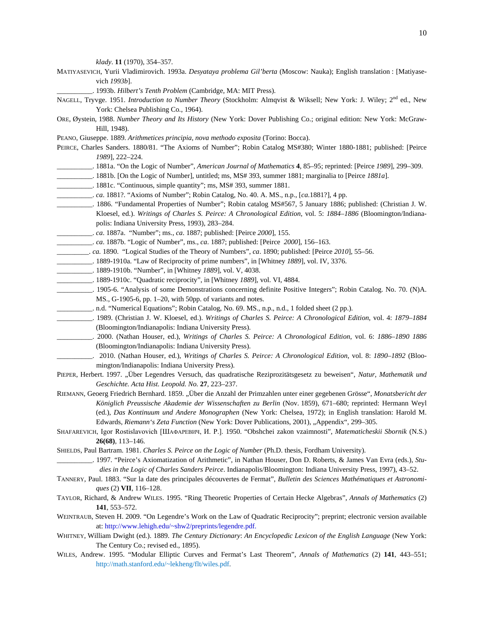*klady*. **11** (1970), 354–357.

- MATIYASEVICH, Yurii Vladimirovich. 1993a. *Desyataya problema Gil'berta* (Moscow: Nauka); English translation : [Matiyasevich *1993b*].
	- \_\_\_\_\_\_\_\_\_\_. 1993b. *Hilbert's Tenth Problem* (Cambridge, MA: MIT Press).
- NAGELL, Tryvge. 1951. *Introduction to Number Theory* (Stockholm: Almqvist & Wiksell; New York: J. Wiley; 2<sup>nd</sup> ed., New York: Chelsea Publishing Co., 1964).
- ORE, Øystein, 1988. *Number Theory and Its History* (New York: Dover Publishing Co.; original edition: New York: McGraw-Hill, 1948).
- PEANO, Giuseppe. 1889. *Arithmetices principia, nova methodo exposita* (Torino: Bocca).
- PEIRCE, Charles Sanders. 1880/81. "The Axioms of Number"; Robin Catalog MS#380; Winter 1880-1881; published: [Peirce *1989*], 222–224.
- \_\_\_\_\_\_\_\_\_\_. 1881a. "On the Logic of Number", *American Journal of Mathematics* **4**, 85–95; reprinted: [Peirce *1989*], 299–309.
- \_\_\_\_\_\_\_\_\_\_. 1881b. [On the Logic of Number], untitled; ms, MS# 393, summer 1881; marginalia to [Peirce *1881a*].
- \_\_\_\_\_\_\_\_\_\_. 1881c. "Continuous, simple quantity"; ms, MS# 393, summer 1881.
- \_\_\_\_\_\_\_\_\_\_. *ca*. 1881?. "Axioms of Number"; Robin Catalog, No. 40. A. MS., n.p., [*ca*.1881?], 4 pp.
- \_\_\_\_\_\_\_\_\_\_. 1886. "Fundamental Properties of Number"; Robin catalog MS#567, 5 January 1886; published: (Christian J. W. Kloesel, ed.). *Writings of Charles S. Peirce: A Chronological Edition*, vol. 5: *1884–1886* (Bloomington/Indianapolis: Indiana University Press, 1993), 283–284.
- \_\_\_\_\_\_\_\_\_\_. *ca*. 1887a. "Number"; ms., *ca*. 1887; published: [Peirce *2000*], 155.
- \_\_\_\_\_\_\_\_\_\_. *ca*. 1887b. "Logic of Number", ms., *ca*. 1887; published: [Peirce *2000*], 156–163.
- \_\_\_\_\_\_\_\_\_. *ca.* 1890. "Logical Studies of the Theory of Numbers", *ca*. 1890; published: [Peirce *2010*], 55–56.
- \_\_\_\_\_\_\_\_\_\_. 1889-1910a. "Law of Reciprocity of prime numbers", in [Whitney *1889*], vol. IV, 3376.
- \_\_\_\_\_\_\_\_\_\_. 1889-1910b. "Number", in [Whitney *1889*], vol. V, 4038.
- \_\_\_\_\_\_\_\_\_\_. 1889-1910c. "Quadratic reciprocity", in [Whitney *1889*], vol. VI, 4884.
- \_\_\_\_\_\_\_\_\_\_. 1905-6. "Analysis of some Demonstrations concerning definite Positive Integers"; Robin Catalog. No. 70. (N)A. MS., G-1905-6, pp. 1–20, with 50pp. of variants and notes.
- \_\_\_\_\_\_\_\_\_\_. n.d. "Numerical Equations"; Robin Catalog, No. 69. MS., n.p., n.d., 1 folded sheet (2 pp.).
- \_\_\_\_\_\_\_\_\_\_. 1989. (Christian J. W. Kloesel, ed.). *Writings of Charles S. Peirce: A Chronological Edition*, vol. 4: *1879–1884* (Bloomington/Indianapolis: Indiana University Press).
- \_\_\_\_\_\_\_\_\_\_. 2000. (Nathan Houser, ed.), *Writings of Charles S. Peirce: A Chronological Edition*, vol. 6: *1886–1890 1886* (Bloomington/Indianapolis: Indiana University Press).
- \_\_\_\_\_\_\_\_\_\_. 2010. (Nathan Houser, ed.), *Writings of Charles S. Peirce: A Chronological Edition*, vol. 8: *1890–1892* (Bloomington/Indianapolis: Indiana University Press).
- PIEPER, Herbert. 1997. "Über Legendres Versuch, das quadratische Reziprozitätsgesetz zu beweisen", Natur, Mathematik und *Geschichte. Acta Hist. Leopold. No.* **27**, 223–237.
- RIEMANN, Geoerg Friedrich Bernhard. 1859. "Über die Anzahl der Primzahlen unter einer gegebenen Grösse", *Monatsbericht der Königlich Preussische Akademie der Wissenschaften zu Berlin* (Nov. 1859), 671–680; reprinted: Hermann Weyl (ed.), *[Das Kontinuum und Andere Monographen](http://www.amazon.com/exec/obidos/ASIN/0828401349/ref=nosim/weisstein-20)* (New York: Chelsea, 1972); in English translation: Harold M. Edwards, *[Riemann's Zeta Function](http://www.amazon.com/exec/obidos/ASIN/0486417409/ref=nosim/weisstein-20)* (New York: Dover Publications, 2001), "Appendix", 299–305.
- SHAFAREVICH, Igor Rostislavovich [ШАФАРЕВИЧ, И. Р.]. 1950. "Obshchei zakon vzaimnosti", *Matematicheskii Sbornik* (N.S.) **26(68)**, 113–146.
- SHIELDS, Paul Bartram. 1981. *Charles S. Peirce on the Logic of Number* (Ph.D. thesis, Fordham University).
- \_\_\_\_\_\_\_\_\_\_. 1997. "Peirce's Axiomatization of Arithmetic", in Nathan Houser, Don D. Roberts, & James Van Evra (eds.), *Studies in the Logic of Charles Sanders Peirce*. Indianapolis/Bloomington: Indiana University Press, 1997), 43–52.
- TANNERY, Paul. 1883. "Sur la date des principales découvertes de Fermat", *Bulletin des Sciences Mathématiques et Astronomiques* (2) **VII**, 116–128.
- TAYLOR, Richard, & Andrew WILES. 1995. "Ring Theoretic Properties of Certain Hecke Algebras", *Annals of Mathematics* (2) **141**, 553–572.
- WEINTRAUB, Steven H. 2009. "On Legendre's Work on the Law of Quadratic Reciprocity"; preprint; electronic version available at[: http://www.lehigh.edu/~shw2/preprints/legendre.pdf.](http://www.lehigh.edu/~shw2/preprints/legendre.pdf)
- WHITNEY, William Dwight (ed.). 1889. *The Century Dictionary*: *An Encyclopedic Lexicon of the English Language* (New York: The Century Co.; revised ed., 1895).
- WILES, Andrew. 1995. "Modular Elliptic Curves and Fermat's Last Theorem", *Annals of Mathematics* (2) **141**, 443–551; [http://math.stanford.edu/~lekheng/flt/wiles.pdf.](http://math.stanford.edu/~lekheng/flt/wiles.pdf)